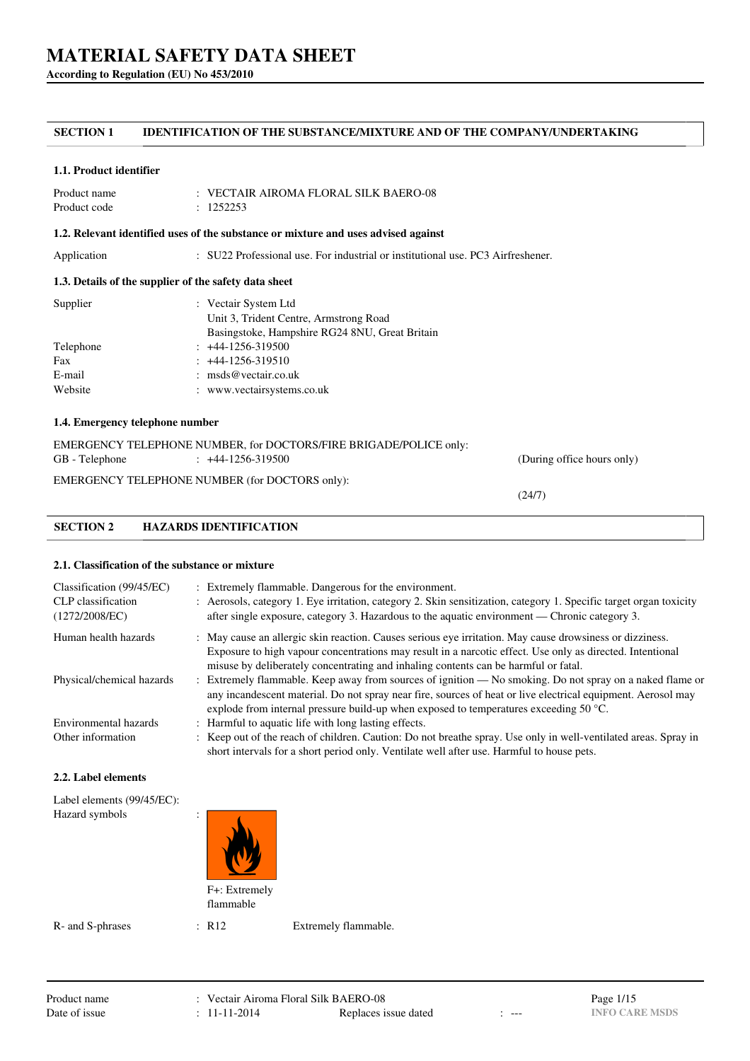**According to Regulation (EU) No 453/2010**

# **SECTION 1 IDENTIFICATION OF THE SUBSTANCE/MIXTURE AND OF THE COMPANY/UNDERTAKING**

#### **1.1. Product identifier**

| Product name | $\pm$ VECTAIR AIROMA FLORAL SILK BAERO-08 |
|--------------|-------------------------------------------|
| Product code | : 1252253                                 |

#### **1.2. Relevant identified uses of the substance or mixture and uses advised against**

Application : SU22 Professional use. For industrial or institutional use. PC3 Airfreshener.

### **1.3. Details of the supplier of the safety data sheet**

| Supplier  | : Vectair System Ltd                           |
|-----------|------------------------------------------------|
|           | Unit 3, Trident Centre, Armstrong Road         |
|           | Basingstoke, Hampshire RG24 8NU, Great Britain |
| Telephone | $: +44-1256-319500$                            |
| Fax       | $: +44-1256-319510$                            |
| E-mail    | : $\text{msds@vector}$ .                       |
| Website   | : www.vectairsystems.co.uk                     |
|           |                                                |

### **1.4. Emergency telephone number**

|                | EMERGENCY TELEPHONE NUMBER, for DOCTORS/FIRE BRIGADE/POLICE only: |                            |
|----------------|-------------------------------------------------------------------|----------------------------|
| GB - Telephone | $\div$ +44-1256-319500                                            | (During office hours only) |
|                | EMERGENCY TELEPHONE NUMBER (for DOCTORS only):                    |                            |

(24/7)

### **2.1. Classification of the substance or mixture**

**SECTION 2 HAZARDS IDENTIFICATION**

| Classification (99/45/EC)<br>CLP classification<br>(1272/2008/EC) | : Extremely flammable. Dangerous for the environment.<br>: Aerosols, category 1. Eye irritation, category 2. Skin sensitization, category 1. Specific target organ toxicity<br>after single exposure, category 3. Hazardous to the aquatic environment — Chronic category 3.                                                |
|-------------------------------------------------------------------|-----------------------------------------------------------------------------------------------------------------------------------------------------------------------------------------------------------------------------------------------------------------------------------------------------------------------------|
| Human health hazards                                              | : May cause an allergic skin reaction. Causes serious eye irritation. May cause drowsiness or dizziness.                                                                                                                                                                                                                    |
|                                                                   | Exposure to high vapour concentrations may result in a narcotic effect. Use only as directed. Intentional<br>misuse by deliberately concentrating and inhaling contents can be harmful or fatal.                                                                                                                            |
| Physical/chemical hazards                                         | : Extremely flammable. Keep away from sources of ignition — No smoking. Do not spray on a naked flame or<br>any incandescent material. Do not spray near fire, sources of heat or live electrical equipment. Aerosol may<br>explode from internal pressure build-up when exposed to temperatures exceeding 50 $^{\circ}$ C. |
| Environmental hazards                                             | : Harmful to aquatic life with long lasting effects.                                                                                                                                                                                                                                                                        |
| Other information                                                 | : Keep out of the reach of children. Caution: Do not breathe spray. Use only in well-ventilated areas. Spray in<br>short intervals for a short period only. Ventilate well after use. Harmful to house pets.                                                                                                                |

#### **2.2. Label elements**

| Label elements (99/45/EC):<br>Hazard symbols | $\bullet$<br>$\bullet$     |  |
|----------------------------------------------|----------------------------|--|
|                                              | F+: Extremely<br>flammable |  |

R- and S-phrases : R12 Extremely flammable.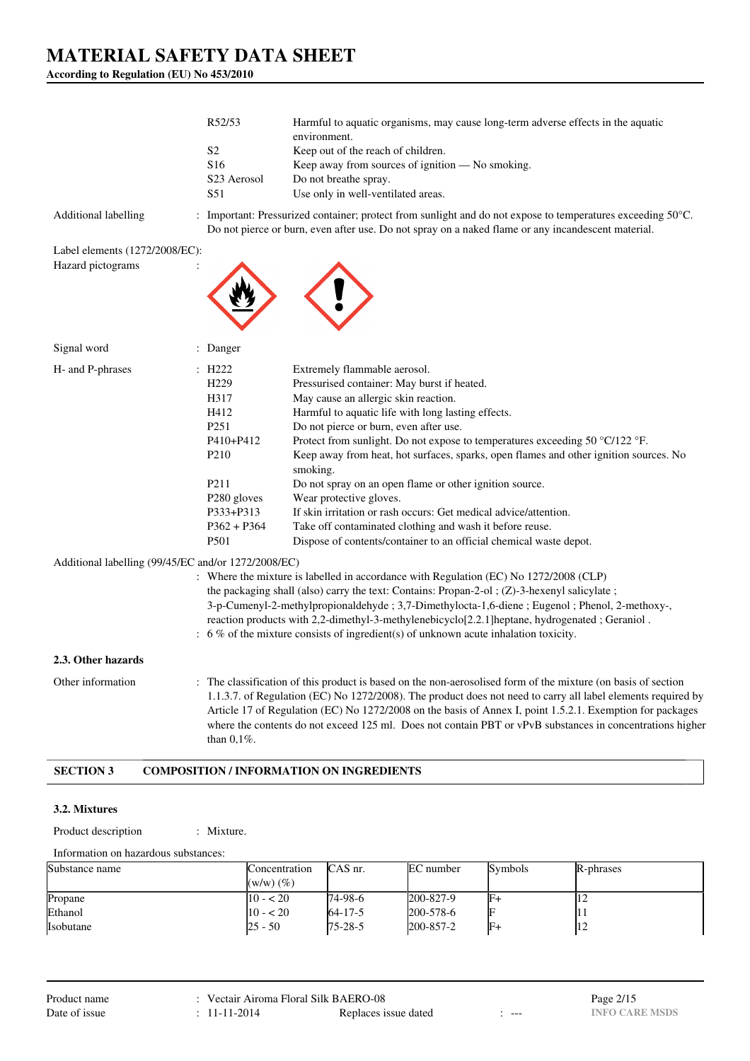**According to Regulation (EU) No 453/2010**

|                                                     | R52/53                  | Harmful to aquatic organisms, may cause long-term adverse effects in the aquatic<br>environment.                                                                                                                                                                                                                                                                                                                                                        |
|-----------------------------------------------------|-------------------------|---------------------------------------------------------------------------------------------------------------------------------------------------------------------------------------------------------------------------------------------------------------------------------------------------------------------------------------------------------------------------------------------------------------------------------------------------------|
|                                                     | S <sub>2</sub>          | Keep out of the reach of children.                                                                                                                                                                                                                                                                                                                                                                                                                      |
|                                                     | S16                     | Keep away from sources of ignition - No smoking.                                                                                                                                                                                                                                                                                                                                                                                                        |
|                                                     | S23 Aerosol             | Do not breathe spray.                                                                                                                                                                                                                                                                                                                                                                                                                                   |
|                                                     | S51                     | Use only in well-ventilated areas.                                                                                                                                                                                                                                                                                                                                                                                                                      |
| Additional labelling                                |                         | : Important: Pressurized container; protect from sunlight and do not expose to temperatures exceeding 50°C.<br>Do not pierce or burn, even after use. Do not spray on a naked flame or any incandescent material.                                                                                                                                                                                                                                       |
| Label elements (1272/2008/EC):                      |                         |                                                                                                                                                                                                                                                                                                                                                                                                                                                         |
| Hazard pictograms                                   |                         |                                                                                                                                                                                                                                                                                                                                                                                                                                                         |
| Signal word                                         | : Danger                |                                                                                                                                                                                                                                                                                                                                                                                                                                                         |
| H- and P-phrases                                    | $\pm$ H222              | Extremely flammable aerosol.                                                                                                                                                                                                                                                                                                                                                                                                                            |
|                                                     | H <sub>229</sub>        | Pressurised container: May burst if heated.                                                                                                                                                                                                                                                                                                                                                                                                             |
|                                                     | H317                    | May cause an allergic skin reaction.                                                                                                                                                                                                                                                                                                                                                                                                                    |
|                                                     | H412                    | Harmful to aquatic life with long lasting effects.                                                                                                                                                                                                                                                                                                                                                                                                      |
|                                                     | P <sub>251</sub>        | Do not pierce or burn, even after use.                                                                                                                                                                                                                                                                                                                                                                                                                  |
|                                                     | P410+P412               | Protect from sunlight. Do not expose to temperatures exceeding 50 °C/122 °F.                                                                                                                                                                                                                                                                                                                                                                            |
|                                                     | P <sub>210</sub>        | Keep away from heat, hot surfaces, sparks, open flames and other ignition sources. No<br>smoking.                                                                                                                                                                                                                                                                                                                                                       |
|                                                     | P211                    | Do not spray on an open flame or other ignition source.                                                                                                                                                                                                                                                                                                                                                                                                 |
|                                                     | P <sub>280</sub> gloves | Wear protective gloves.                                                                                                                                                                                                                                                                                                                                                                                                                                 |
|                                                     | P333+P313               | If skin irritation or rash occurs: Get medical advice/attention.                                                                                                                                                                                                                                                                                                                                                                                        |
|                                                     | $P362 + P364$<br>P501   | Take off contaminated clothing and wash it before reuse.<br>Dispose of contents/container to an official chemical waste depot.                                                                                                                                                                                                                                                                                                                          |
|                                                     |                         |                                                                                                                                                                                                                                                                                                                                                                                                                                                         |
| Additional labelling (99/45/EC and/or 1272/2008/EC) |                         | : Where the mixture is labelled in accordance with Regulation (EC) No 1272/2008 (CLP)                                                                                                                                                                                                                                                                                                                                                                   |
|                                                     |                         | the packaging shall (also) carry the text: Contains: Propan-2-ol ; $(Z)$ -3-hexenyl salicylate;                                                                                                                                                                                                                                                                                                                                                         |
|                                                     |                         | 3-p-Cumenyl-2-methylpropionaldehyde; 3,7-Dimethylocta-1,6-diene; Eugenol; Phenol, 2-methoxy-,                                                                                                                                                                                                                                                                                                                                                           |
|                                                     |                         | reaction products with 2,2-dimethyl-3-methylenebicyclo[2.2.1]heptane, hydrogenated; Geraniol.                                                                                                                                                                                                                                                                                                                                                           |
|                                                     |                         | $\therefore$ 6 % of the mixture consists of ingredient(s) of unknown acute inhalation toxicity.                                                                                                                                                                                                                                                                                                                                                         |
| 2.3. Other hazards                                  |                         |                                                                                                                                                                                                                                                                                                                                                                                                                                                         |
| Other information                                   | than $0,1\%$ .          | : The classification of this product is based on the non-aerosolised form of the mixture (on basis of section<br>1.1.3.7. of Regulation (EC) No 1272/2008). The product does not need to carry all label elements required by<br>Article 17 of Regulation (EC) No 1272/2008 on the basis of Annex I, point 1.5.2.1. Exemption for packages<br>where the contents do not exceed 125 ml. Does not contain PBT or vPvB substances in concentrations higher |
| <b>SECTION 3</b>                                    |                         | <b>COMPOSITION / INFORMATION ON INGREDIENTS</b>                                                                                                                                                                                                                                                                                                                                                                                                         |

#### **3.2. Mixtures**

Product description : Mixture.

Information on hazardous substances:

| Substance name   | Concentration<br>$(w/w)$ $(\%)$ | CAS nr.        | EC number | <b>Symbols</b> | R-phrases      |
|------------------|---------------------------------|----------------|-----------|----------------|----------------|
| Propane          | $10 - 520$                      | $174 - 98 - 6$ | 200-827-9 |                | $\overline{1}$ |
| Ethanol          | $10 - 20$                       | $64 - 17 - 5$  | 200-578-6 |                |                |
| <b>Isobutane</b> | 25 - 50                         | $175 - 28 - 5$ | 200-857-2 |                |                |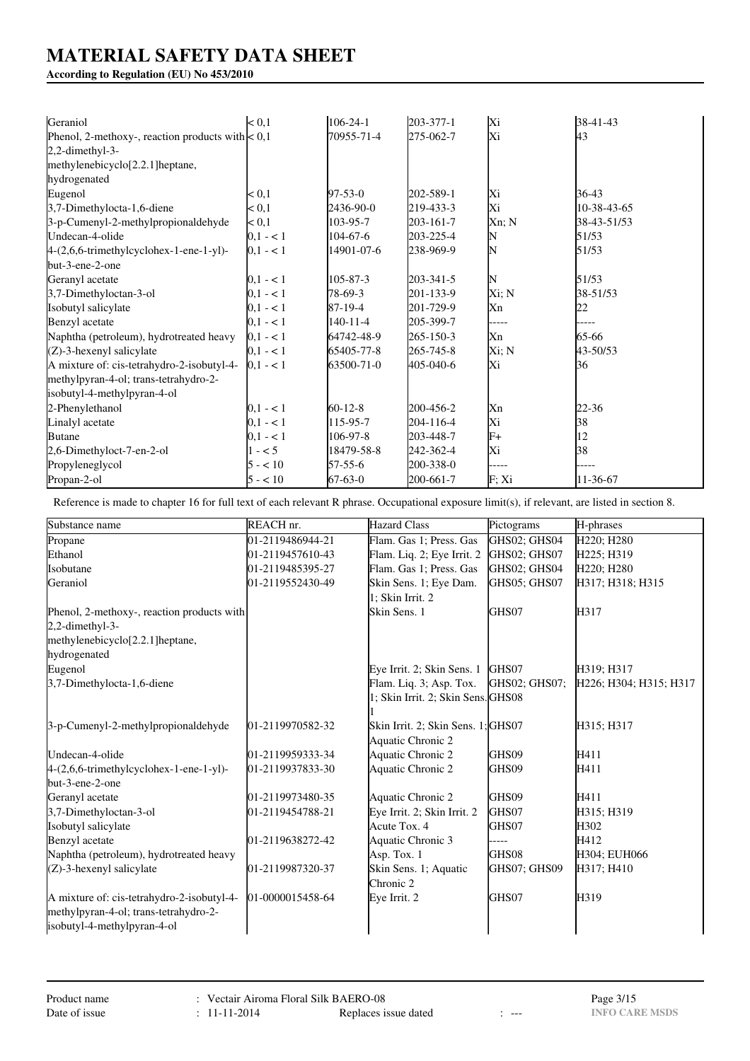**According to Regulation (EU) No 453/2010**

| Geraniol                                           | $0,1$       | $106 - 24 - 1$ | 203-377-1 | Xi    | 38-41-43    |
|----------------------------------------------------|-------------|----------------|-----------|-------|-------------|
| Phenol, 2-methoxy-, reaction products with $< 0.1$ |             | 70955-71-4     | 275-062-7 | Xi    | 43          |
| 2,2-dimethyl-3-                                    |             |                |           |       |             |
| methylenebicyclo[2.2.1]heptane,                    |             |                |           |       |             |
| hydrogenated                                       |             |                |           |       |             |
| Eugenol                                            | < 0.1       | $97 - 53 - 0$  | 202-589-1 | Xi    | 36-43       |
| 3,7-Dimethylocta-1,6-diene                         | < 0,1       | 2436-90-0      | 219-433-3 | Xi    | 10-38-43-65 |
| 3-p-Cumenyl-2-methylpropionaldehyde                | $0,1$       | 103-95-7       | 203-161-7 | Xn; N | 38-43-51/53 |
| Undecan-4-olide                                    | $0,1 - 1$   | $104 - 67 - 6$ | 203-225-4 | N     | 51/53       |
| 4-(2,6,6-trimethylcyclohex-1-ene-1-yl)-            | $ 0,1 - 1 $ | 14901-07-6     | 238-969-9 | N     | 51/53       |
| but-3-ene-2-one                                    |             |                |           |       |             |
| Geranyl acetate                                    | $0,1 - 1$   | 105-87-3       | 203-341-5 | N     | 51/53       |
| 3,7-Dimethyloctan-3-ol                             | $0.1 - 1$   | 78-69-3        | 201-133-9 | Xi; N | 38-51/53    |
| Isobutyl salicylate                                | $0.1 - 1$   | 87-19-4        | 201-729-9 | Xn    | 22          |
| Benzyl acetate                                     | $0.1 - 1$   | $140 - 11 - 4$ | 205-399-7 | ----- |             |
| Naphtha (petroleum), hydrotreated heavy            | $0,1 - 1$   | 64742-48-9     | 265-150-3 | Xn    | 65-66       |
| $(Z)$ -3-hexenyl salicylate                        | $0.1 - 1$   | 65405-77-8     | 265-745-8 | Xi; N | 43-50/53    |
| A mixture of: cis-tetrahydro-2-isobutyl-4-         | $0,1 - 1$   | 63500-71-0     | 405-040-6 | Xi    | 36          |
| methylpyran-4-ol; trans-tetrahydro-2-              |             |                |           |       |             |
| isobutyl-4-methylpyran-4-ol                        |             |                |           |       |             |
| 2-Phenylethanol                                    | $0,1 - 1$   | $60-12-8$      | 200-456-2 | Xn    | 22-36       |
| Linalyl acetate                                    | $0,1 - 1$   | 115-95-7       | 204-116-4 | Xi    | 38          |
| <b>Butane</b>                                      | $0,1 - 1$   | 106-97-8       | 203-448-7 | $F+$  | 12          |
| 2,6-Dimethyloct-7-en-2-ol                          | $1 - 5$     | 18479-58-8     | 242-362-4 | Xi    | 38          |
| Propyleneglycol                                    | $5 - 10$    | $57 - 55 - 6$  | 200-338-0 | ----- |             |
| Propan-2-ol                                        | $5 - 10$    | $67-63-0$      | 200-661-7 | F;Xi  | 11-36-67    |

Reference is made to chapter 16 for full text of each relevant R phrase. Occupational exposure limit(s), if relevant, are listed in section 8.

| Substance name                             | REACH nr.        | <b>Hazard Class</b>                | Pictograms    | H-phrases              |
|--------------------------------------------|------------------|------------------------------------|---------------|------------------------|
| Propane                                    | 01-2119486944-21 | Flam. Gas 1; Press. Gas            | GHS02; GHS04  | H220; H280             |
| Ethanol                                    | 01-2119457610-43 | Flam. Liq. 2; Eye Irrit. 2         | GHS02; GHS07  | H225; H319             |
| Isobutane                                  | 01-2119485395-27 | Flam. Gas 1; Press. Gas            | GHS02; GHS04  | H220; H280             |
| Geraniol                                   | 01-2119552430-49 | Skin Sens. 1; Eye Dam.             | GHS05; GHS07  | H317; H318; H315       |
|                                            |                  | 1; Skin Irrit. 2                   |               |                        |
| Phenol, 2-methoxy-, reaction products with |                  | Skin Sens. 1                       | GHS07         | H317                   |
| 2,2-dimethyl-3-                            |                  |                                    |               |                        |
| methylenebicyclo[2.2.1]heptane,            |                  |                                    |               |                        |
| hydrogenated                               |                  |                                    |               |                        |
| Eugenol                                    |                  | Eye Irrit. 2; Skin Sens. 1         | GHS07         | H319; H317             |
| 3,7-Dimethylocta-1,6-diene                 |                  | Flam. Liq. 3; Asp. Tox.            | GHS02: GHS07: | H226; H304; H315; H317 |
|                                            |                  | 1; Skin Irrit. 2; Skin Sens. GHS08 |               |                        |
|                                            |                  |                                    |               |                        |
| 3-p-Cumenyl-2-methylpropionaldehyde        | 01-2119970582-32 | Skin Irrit. 2; Skin Sens. 1; GHS07 |               | H315; H317             |
|                                            |                  | Aquatic Chronic 2                  |               |                        |
| Undecan-4-olide                            | 01-2119959333-34 | Aquatic Chronic 2                  | GHS09         | H411                   |
| $4-(2,6,6-trimethylcyclohex-1-ene-1-yl)-$  | 01-2119937833-30 | Aquatic Chronic 2                  | GHS09         | H411                   |
| but-3-ene-2-one                            |                  |                                    |               |                        |
| Geranyl acetate                            | 01-2119973480-35 | Aquatic Chronic 2                  | GHS09         | H411                   |
| 3,7-Dimethyloctan-3-ol                     | 01-2119454788-21 | Eye Irrit. 2; Skin Irrit. 2        | GHS07         | H315; H319             |
| Isobutyl salicylate                        |                  | Acute Tox, 4                       | GHS07         | H302                   |
| Benzyl acetate                             | 01-2119638272-42 | Aquatic Chronic 3                  |               | H412                   |
| Naphtha (petroleum), hydrotreated heavy    |                  | Asp. Tox. 1                        | GHS08         | H304; EUH066           |
| $(Z)$ -3-hexenyl salicylate                | 01-2119987320-37 | Skin Sens. 1; Aquatic              | GHS07: GHS09  | H317; H410             |
|                                            |                  | Chronic 2                          |               |                        |
| A mixture of: cis-tetrahydro-2-isobutyl-4- | 01-0000015458-64 | Eye Irrit. 2                       | GHS07         | H319                   |
| methylpyran-4-ol; trans-tetrahydro-2-      |                  |                                    |               |                        |
| isobutyl-4-methylpyran-4-ol                |                  |                                    |               |                        |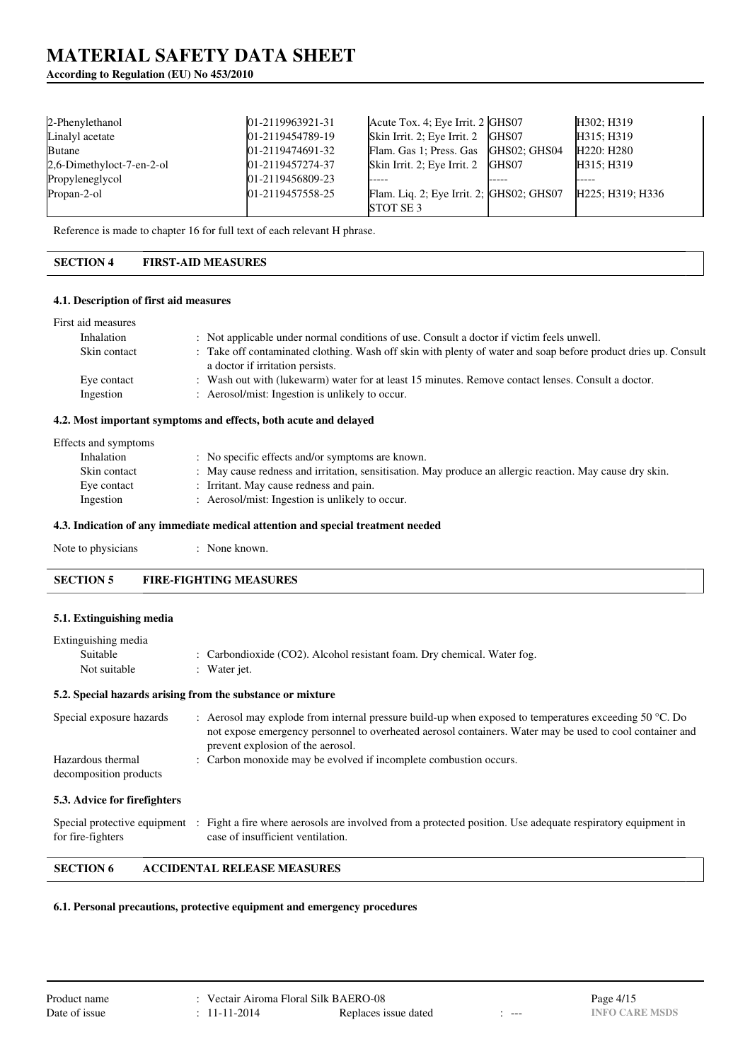# **According to Regulation (EU) No 453/2010**

| 2-Phenylethanol           | $[01-2119963921-31]$    | Acute Tox. 4; Eye Irrit. 2 GHS07         |              | H302; H319       |
|---------------------------|-------------------------|------------------------------------------|--------------|------------------|
| Linalyl acetate           | 01-2119454789-19        | Skin Irrit. 2; Eye Irrit. 2 GHS07        |              | H315; H319       |
| <b>Butane</b>             | $[01-2119474691-32]$    | Flam. Gas 1; Press. Gas                  | GHS02: GHS04 | H220: H280       |
| 2,6-Dimethyloct-7-en-2-ol | 01-2119457274-37        | Skin Irrit. 2; Eye Irrit. 2 GHS07        |              | H315; H319       |
| Propyleneglycol           | $[01-2119456809-23]$    |                                          |              |                  |
| Propan-2-ol               | $101 - 2119457558 - 25$ | Flam. Liq. 2; Eye Irrit. 2; GHS02; GHS07 |              | H225; H319; H336 |
|                           |                         | <b>STOT SE 3</b>                         |              |                  |

Reference is made to chapter 16 for full text of each relevant H phrase.

# **SECTION 4 FIRST-AID MEASURES**

#### **4.1. Description of first aid measures**

| First aid measures       |                                                                                                                                                       |
|--------------------------|-------------------------------------------------------------------------------------------------------------------------------------------------------|
| Inhalation               | : Not applicable under normal conditions of use. Consult a doctor if victim feels unwell.                                                             |
| Skin contact             | : Take off contaminated clothing. Wash off skin with plenty of water and soap before product dries up. Consult<br>a doctor if irritation persists.    |
| Eye contact<br>Ingestion | : Wash out with (lukewarm) water for at least 15 minutes. Remove contact lenses. Consult a doctor.<br>: Aerosol/mist: Ingestion is unlikely to occur. |
|                          |                                                                                                                                                       |

# **4.2. Most important symptoms and effects, both acute and delayed**

| Effects and symptoms |                                                                                                          |
|----------------------|----------------------------------------------------------------------------------------------------------|
| Inhalation           | : No specific effects and/or symptoms are known.                                                         |
| Skin contact         | : May cause redness and irritation, sensitisation. May produce an allergic reaction. May cause dry skin. |
| Eye contact          | : Irritant. May cause redness and pain.                                                                  |
| Ingestion            | : Aerosol/mist: Ingestion is unlikely to occur.                                                          |
|                      |                                                                                                          |

#### **4.3. Indication of any immediate medical attention and special treatment needed**

| Note to physicians | None known. |
|--------------------|-------------|
|--------------------|-------------|

### **SECTION 5 FIRE-FIGHTING MEASURES**

#### **5.1. Extinguishing media**

| Extinguishing media                         |                                                                                                                                                                                                                                                                  |
|---------------------------------------------|------------------------------------------------------------------------------------------------------------------------------------------------------------------------------------------------------------------------------------------------------------------|
| Suitable                                    | : Carbondioxide (CO2). Alcohol resistant foam. Dry chemical. Water fog.                                                                                                                                                                                          |
| Not suitable                                | : Water jet.                                                                                                                                                                                                                                                     |
|                                             | 5.2. Special hazards arising from the substance or mixture                                                                                                                                                                                                       |
| Special exposure hazards                    | : Aerosol may explode from internal pressure build-up when exposed to temperatures exceeding $50^{\circ}$ C. Do<br>not expose emergency personnel to overheated aerosol containers. Water may be used to cool container and<br>prevent explosion of the aerosol. |
| Hazardous thermal<br>decomposition products | : Carbon monoxide may be evolved if incomplete combustion occurs.                                                                                                                                                                                                |

### **5.3. Advice for firefighters**

|                   | Special protective equipment : Fight a fire where aerosols are involved from a protected position. Use adequate respiratory equipment in |
|-------------------|------------------------------------------------------------------------------------------------------------------------------------------|
| for fire-fighters | case of insufficient ventilation.                                                                                                        |

# **SECTION 6 ACCIDENTAL RELEASE MEASURES**

#### **6.1. Personal precautions, protective equipment and emergency procedures**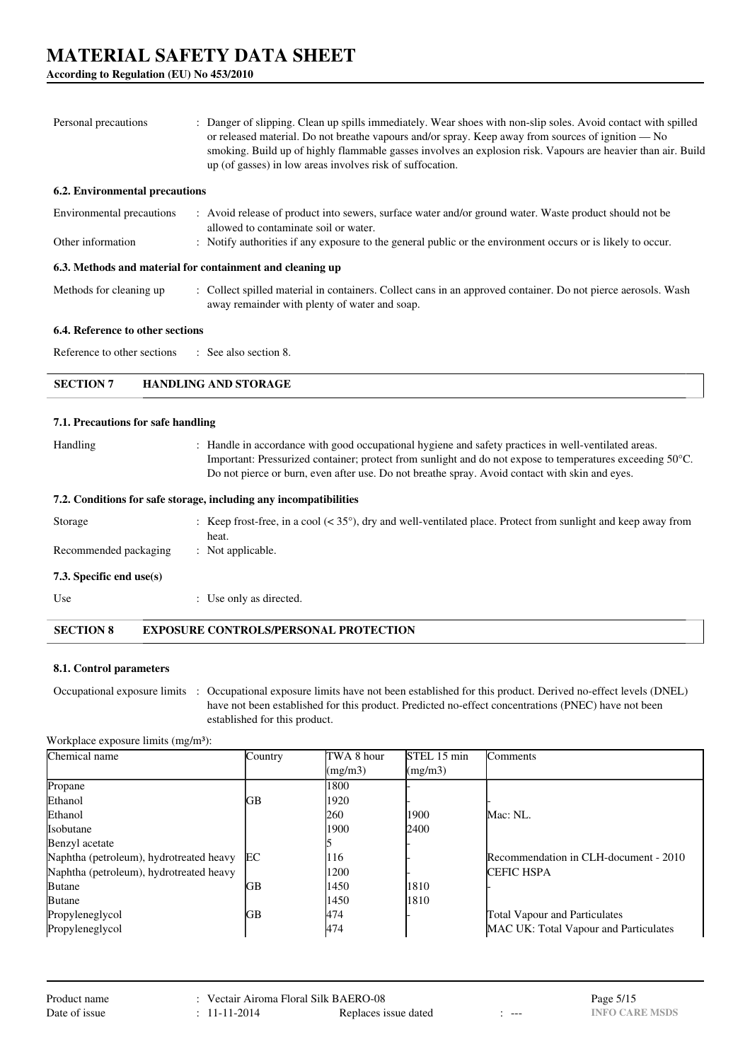**According to Regulation (EU) No 453/2010**

| Personal precautions                                      | : Danger of slipping. Clean up spills immediately. Wear shoes with non-slip soles. Avoid contact with spilled<br>or released material. Do not breathe vapours and/or spray. Keep away from sources of ignition — No<br>smoking. Build up of highly flammable gasses involves an explosion risk. Vapours are heavier than air. Build<br>up (of gasses) in low areas involves risk of suffocation. |
|-----------------------------------------------------------|--------------------------------------------------------------------------------------------------------------------------------------------------------------------------------------------------------------------------------------------------------------------------------------------------------------------------------------------------------------------------------------------------|
| 6.2. Environmental precautions                            |                                                                                                                                                                                                                                                                                                                                                                                                  |
| Environmental precautions                                 | : Avoid release of product into sewers, surface water and/or ground water. Waste product should not be<br>allowed to contaminate soil or water.                                                                                                                                                                                                                                                  |
| Other information                                         | : Notify authorities if any exposure to the general public or the environment occurs or is likely to occur.                                                                                                                                                                                                                                                                                      |
| 6.3. Methods and material for containment and cleaning up |                                                                                                                                                                                                                                                                                                                                                                                                  |
| Methods for cleaning up                                   | : Collect spilled material in containers. Collect cans in an approved container. Do not pierce aerosols. Wash<br>away remainder with plenty of water and soap.                                                                                                                                                                                                                                   |
| 6.4. Reference to other sections                          |                                                                                                                                                                                                                                                                                                                                                                                                  |
| Reference to other sections                               | $\therefore$ See also section 8.                                                                                                                                                                                                                                                                                                                                                                 |
| <b>SECTION 7</b>                                          | <b>HANDLING AND STORAGE</b>                                                                                                                                                                                                                                                                                                                                                                      |
| 7.1. Precautions for safe handling                        |                                                                                                                                                                                                                                                                                                                                                                                                  |
| Handling                                                  | : Handle in accordance with good occupational hygiene and safety practices in well-ventilated areas.<br>Important: Pressurized container; protect from sunlight and do not expose to temperatures exceeding 50°C.<br>Do not pierce or burn, even after use. Do not breathe spray. Avoid contact with skin and eyes.                                                                              |
|                                                           | 7.2. Conditions for safe storage, including any incompatibilities                                                                                                                                                                                                                                                                                                                                |
| Storage                                                   | : Keep frost-free, in a cool $(< 35^{\circ})$ , dry and well-ventilated place. Protect from sunlight and keep away from                                                                                                                                                                                                                                                                          |

heat. Recommended packaging : Not applicable.

**7.3. Specific end use(s)**

Use  $\qquad \qquad$  : Use only as directed.

**SECTION 8 EXPOSURE CONTROLS/PERSONAL PROTECTION**

### **8.1. Control parameters**

Occupational exposure limits : Occupational exposure limits have not been established for this product. Derived no-effect levels (DNEL) have not been established for this product. Predicted no-effect concentrations (PNEC) have not been established for this product.

Workplace exposure limits (mg/m<sup>3</sup>):

| Chemical name                           | Country | TWA 8 hour | STEL 15 min | <b>Comments</b>                       |
|-----------------------------------------|---------|------------|-------------|---------------------------------------|
|                                         |         | (mg/m3)    | (mg/m3)     |                                       |
| Propane                                 |         | 1800       |             |                                       |
| Ethanol                                 | GВ      | 1920       |             |                                       |
| Ethanol                                 |         | 260        | 1900        | Mac: NL.                              |
| <b>Isobutane</b>                        |         | 1900       | 2400        |                                       |
| Benzyl acetate                          |         |            |             |                                       |
| Naphtha (petroleum), hydrotreated heavy | EC      | 116        |             | Recommendation in CLH-document - 2010 |
| Naphtha (petroleum), hydrotreated heavy |         | 1200       |             | <b>CEFIC HSPA</b>                     |
| <b>Butane</b>                           | GВ      | 1450       | 1810        |                                       |
| <b>Butane</b>                           |         | 1450       | 1810        |                                       |
| Propyleneglycol                         | GВ      | 474        |             | <b>Total Vapour and Particulates</b>  |
| Propyleneglycol                         |         | 474        |             | MAC UK: Total Vapour and Particulates |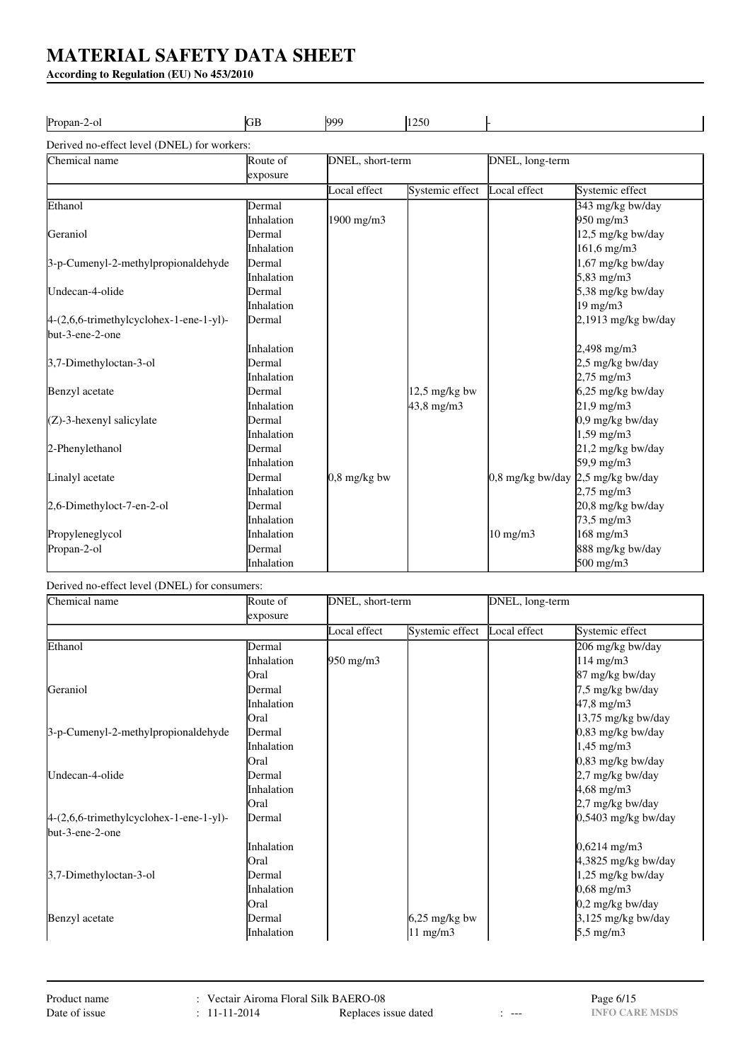**According to Regulation (EU) No 453/2010**

| Propan-2-ol                                 | GВ                | 999              | 1250            |                                     |                       |
|---------------------------------------------|-------------------|------------------|-----------------|-------------------------------------|-----------------------|
| Derived no-effect level (DNEL) for workers: |                   |                  |                 |                                     |                       |
| Chemical name                               | Route of          | DNEL, short-term |                 | DNEL, long-term                     |                       |
|                                             | exposure          |                  |                 |                                     |                       |
|                                             |                   | Local effect     | Systemic effect | Local effect                        | Systemic effect       |
| Ethanol                                     | Dermal            |                  |                 |                                     | 343 mg/kg bw/day      |
|                                             | <b>Inhalation</b> | 1900 mg/m3       |                 |                                     | 950 mg/m3             |
| Geraniol                                    | Dermal            |                  |                 |                                     | 12,5 mg/kg bw/day     |
|                                             | <i>Inhalation</i> |                  |                 |                                     | $161,6$ mg/m3         |
| 3-p-Cumenyl-2-methylpropionaldehyde         | Dermal            |                  |                 |                                     | 1,67 mg/kg bw/day     |
|                                             | <b>Inhalation</b> |                  |                 |                                     | 5,83 mg/m3            |
| Undecan-4-olide                             | Dermal            |                  |                 |                                     | 5,38 mg/kg bw/day     |
|                                             | <i>Inhalation</i> |                  |                 |                                     | 19 mg/m3              |
| 4-(2,6,6-trimethylcyclohex-1-ene-1-yl)-     | Dermal            |                  |                 |                                     | 2,1913 mg/kg bw/day   |
| but-3-ene-2-one                             |                   |                  |                 |                                     |                       |
|                                             | <b>Inhalation</b> |                  |                 |                                     | $2,498$ mg/m $3$      |
| 3,7-Dimethyloctan-3-ol                      | Dermal            |                  |                 |                                     | 2,5 mg/kg bw/day      |
|                                             | <b>Inhalation</b> |                  |                 |                                     | $2,75 \text{ mg/m}$ 3 |
| Benzyl acetate                              | Dermal            |                  | $12.5$ mg/kg bw |                                     | 6,25 mg/kg bw/day     |
|                                             | <i>Inhalation</i> |                  | $43,8$ mg/m $3$ |                                     | $21,9$ mg/m $3$       |
| $(Z)$ -3-hexenyl salicylate                 | Dermal            |                  |                 |                                     | 0,9 mg/kg bw/day      |
|                                             | <b>Inhalation</b> |                  |                 |                                     | $1,59$ mg/m $3$       |
| 2-Phenylethanol                             | Dermal            |                  |                 |                                     | 21,2 mg/kg bw/day     |
|                                             | <i>Inhalation</i> |                  |                 |                                     | 59,9 mg/m3            |
| Linalyl acetate                             | Dermal            | $0.8$ mg/kg bw   |                 | $0.8$ mg/kg bw/day 2.5 mg/kg bw/day |                       |
|                                             | Inhalation        |                  |                 |                                     | $2,75 \text{ mg/m}$ 3 |
| 2,6-Dimethyloct-7-en-2-ol                   | Dermal            |                  |                 |                                     | 20,8 mg/kg bw/day     |
|                                             | <i>Inhalation</i> |                  |                 |                                     | $73,5 \text{ mg/m}$ 3 |
| Propyleneglycol                             | Inhalation        |                  |                 | $10$ mg/m $3$                       | 168 mg/m3             |
| Propan-2-ol                                 | Dermal            |                  |                 |                                     | 888 mg/kg bw/day      |
|                                             | Inhalation        |                  |                 |                                     | 500 mg/m3             |

# Derived no-effect level (DNEL) for consumers:

| Chemical name                             | Route of          | DNEL, short-term   |                 | DNEL, long-term |                       |
|-------------------------------------------|-------------------|--------------------|-----------------|-----------------|-----------------------|
|                                           | exposure          |                    |                 |                 |                       |
|                                           |                   | Local effect       | Systemic effect | Local effect    | Systemic effect       |
| Ethanol                                   | Dermal            |                    |                 |                 | 206 mg/kg bw/day      |
|                                           | <i>Inhalation</i> | $950 \text{ mg/m}$ |                 |                 | $114$ mg/m $3$        |
|                                           | Oral              |                    |                 |                 | 87 mg/kg bw/day       |
| Geraniol                                  | Dermal            |                    |                 |                 | 7,5 mg/kg bw/day      |
|                                           | Inhalation        |                    |                 |                 | $47,8$ mg/m $3$       |
|                                           | Oral              |                    |                 |                 | 13,75 mg/kg bw/day    |
| 3-p-Cumenyl-2-methylpropionaldehyde       | Dermal            |                    |                 |                 | 0,83 mg/kg bw/day     |
|                                           | Inhalation        |                    |                 |                 | $1,45 \text{ mg/m}$ 3 |
|                                           | Oral              |                    |                 |                 | $0,83$ mg/kg bw/day   |
| Undecan-4-olide                           | Dermal            |                    |                 |                 | 2,7 mg/kg bw/day      |
|                                           | Inhalation        |                    |                 |                 | $4,68$ mg/m3          |
|                                           | Oral              |                    |                 |                 | 2,7 mg/kg bw/day      |
| $4-(2,6,6-trimethylcyclohex-1-ene-1-yl)-$ | Dermal            |                    |                 |                 | $0,5403$ mg/kg bw/day |
| but-3-ene-2-one                           |                   |                    |                 |                 |                       |
|                                           | Inhalation        |                    |                 |                 | $0,6214$ mg/m3        |
|                                           | Oral              |                    |                 |                 | 4,3825 mg/kg bw/day   |
| 3,7-Dimethyloctan-3-ol                    | Dermal            |                    |                 |                 | 1,25 mg/kg bw/day     |
|                                           | Inhalation        |                    |                 |                 | $0,68$ mg/m $3$       |
|                                           | Oral              |                    |                 |                 | 0,2 mg/kg bw/day      |
| Benzyl acetate                            | Dermal            |                    | $6,25$ mg/kg bw |                 | 3,125 mg/kg bw/day    |
|                                           | Inhalation        |                    | $11$ mg/m3      |                 | 5,5 mg/m3             |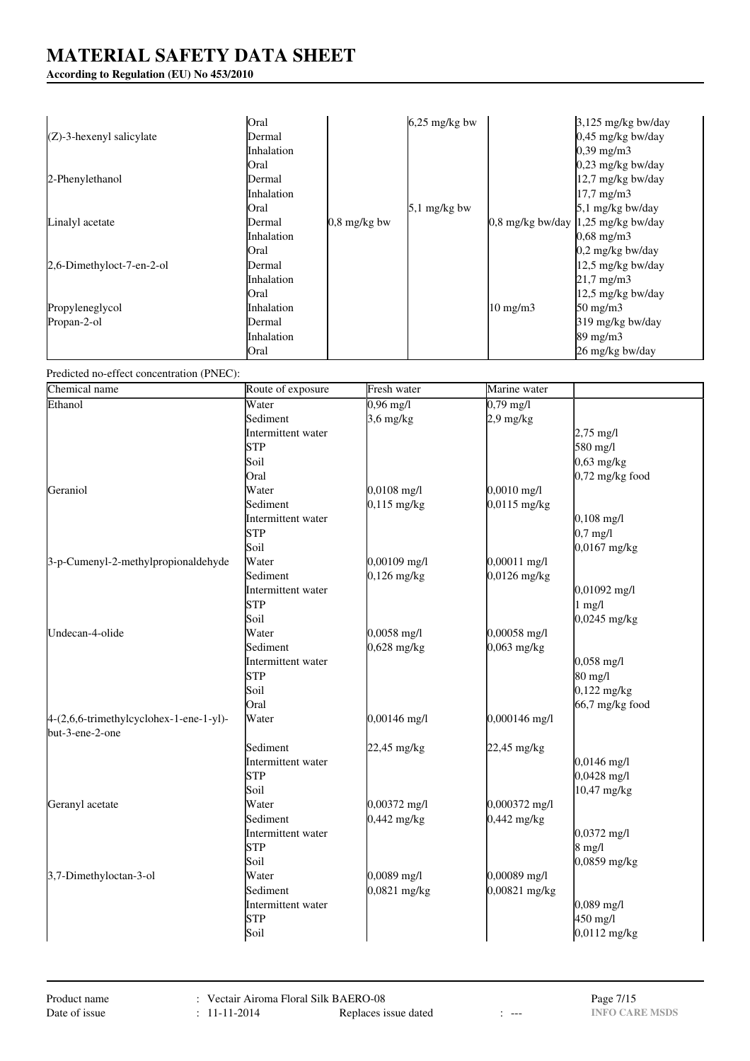# **According to Regulation (EU) No 453/2010**

|                             | Oral              |                        | $6,25$ mg/kg bw |                   | $3,125$ mg/kg bw/day                    |
|-----------------------------|-------------------|------------------------|-----------------|-------------------|-----------------------------------------|
| $(Z)$ -3-hexenyl salicylate | Dermal            |                        |                 |                   | $0,45$ mg/kg bw/day                     |
|                             | Inhalation        |                        |                 |                   | $0,39 \text{ mg/m}$ 3                   |
|                             | Oral              |                        |                 |                   | $0,23$ mg/kg bw/day                     |
| 2-Phenylethanol             | Dermal            |                        |                 |                   | $12.7$ mg/kg bw/day                     |
|                             | <i>Inhalation</i> |                        |                 |                   | $17,7$ mg/m $3$                         |
|                             | <b>Oral</b>       |                        | $5,1$ mg/kg bw  |                   | 5,1 mg/kg bw/day                        |
| Linalyl acetate             | Dermal            | $0.8 \text{ mg/kg}$ bw |                 |                   | $0.8$ mg/kg bw/day $ 1,25$ mg/kg bw/day |
|                             | Inhalation        |                        |                 |                   | $0,68 \text{ mg/m}$ 3                   |
|                             | Oral              |                        |                 |                   | 0,2 mg/kg bw/day                        |
| 2,6-Dimethyloct-7-en-2-ol   | Dermal            |                        |                 |                   | $12.5$ mg/kg bw/day                     |
|                             | Inhalation        |                        |                 |                   | $21.7 \text{ mg/m}$                     |
|                             | <b>Oral</b>       |                        |                 |                   | $12.5$ mg/kg bw/day                     |
| Propyleneglycol             | Inhalation        |                        |                 | $10 \text{ mg/m}$ | $50 \text{ mg/m}$                       |
| Propan-2-ol                 | Dermal            |                        |                 |                   | 319 mg/kg bw/day                        |
|                             | Inhalation        |                        |                 |                   | $89 \text{ mg/m}$                       |
|                             | Oral              |                        |                 |                   | 26 mg/kg bw/day                         |

Predicted no-effect concentration (PNEC):

| Chemical name                           | Route of exposure  | Fresh water         | Marine water        |                     |
|-----------------------------------------|--------------------|---------------------|---------------------|---------------------|
| Ethanol                                 | Water              | $0,96 \text{ mg/l}$ | $0,79 \text{ mg/l}$ |                     |
|                                         | Sediment           | $3,6$ mg/kg         | $2.9$ mg/kg         |                     |
|                                         | Intermittent water |                     |                     | $2,75 \text{ mg/l}$ |
|                                         | STP                |                     |                     | 580 mg/l            |
|                                         | Soil               |                     |                     | $0,63$ mg/kg        |
|                                         | Oral               |                     |                     | $0,72$ mg/kg food   |
| Geraniol                                | Water              | $0,0108$ mg/l       | $0,0010$ mg/l       |                     |
|                                         | Sediment           | $0,115$ mg/kg       | 0,0115 mg/kg        |                     |
|                                         | Intermittent water |                     |                     | $0,108$ mg/l        |
|                                         | <b>STP</b>         |                     |                     | $0,7$ mg/l          |
|                                         | Soil               |                     |                     | $0,0167$ mg/kg      |
| 3-p-Cumenyl-2-methylpropionaldehyde     | Water              | 0,00109 mg/l        | 0,00011 mg/l        |                     |
|                                         | Sediment           | $0,126$ mg/kg       | $0,0126$ mg/kg      |                     |
|                                         | Intermittent water |                     |                     | $0,01092$ mg/l      |
|                                         | STP                |                     |                     | $1$ mg/l            |
|                                         | Soil               |                     |                     | $0,0245$ mg/kg      |
| Undecan-4-olide                         | Water              | 0,0058 mg/l         | 0,00058 mg/l        |                     |
|                                         | Sediment           | $0,628$ mg/kg       | $0,063$ mg/kg       |                     |
|                                         | Intermittent water |                     |                     | $0,058$ mg/l        |
|                                         | STP                |                     |                     | 80 mg/l             |
|                                         | Soil               |                     |                     | $0,122$ mg/kg       |
|                                         | Oral               |                     |                     | 66,7 mg/kg food     |
| 4-(2,6,6-trimethylcyclohex-1-ene-1-yl)- | Water              | 0,00146 mg/l        | 0,000146 mg/l       |                     |
| but-3-ene-2-one                         |                    |                     |                     |                     |
|                                         | Sediment           | 22,45 mg/kg         | 22,45 mg/kg         |                     |
|                                         | Intermittent water |                     |                     | $0,0146$ mg/l       |
|                                         | STP                |                     |                     | $0,0428$ mg/l       |
|                                         | Soil               |                     |                     | 10,47 mg/kg         |
| Geranyl acetate                         | Water              | 0,00372 mg/l        | 0,000372 mg/l       |                     |
|                                         | Sediment           | $0,442$ mg/kg       | $0,442$ mg/kg       |                     |
|                                         | Intermittent water |                     |                     | $0,0372$ mg/l       |
|                                         | STP                |                     |                     | $8$ mg/l            |
|                                         | Soil               |                     |                     | $0,0859$ mg/kg      |
| 3,7-Dimethyloctan-3-ol                  | Water              | 0,0089 mg/l         | 0,00089 mg/l        |                     |
|                                         | Sediment           | 0,0821 mg/kg        | 0,00821 mg/kg       |                     |
|                                         | Intermittent water |                     |                     | $0,089$ mg/l        |
|                                         | STP                |                     |                     | 450 mg/l            |
|                                         | Soil               |                     |                     | 0,0112 mg/kg        |
|                                         |                    |                     |                     |                     |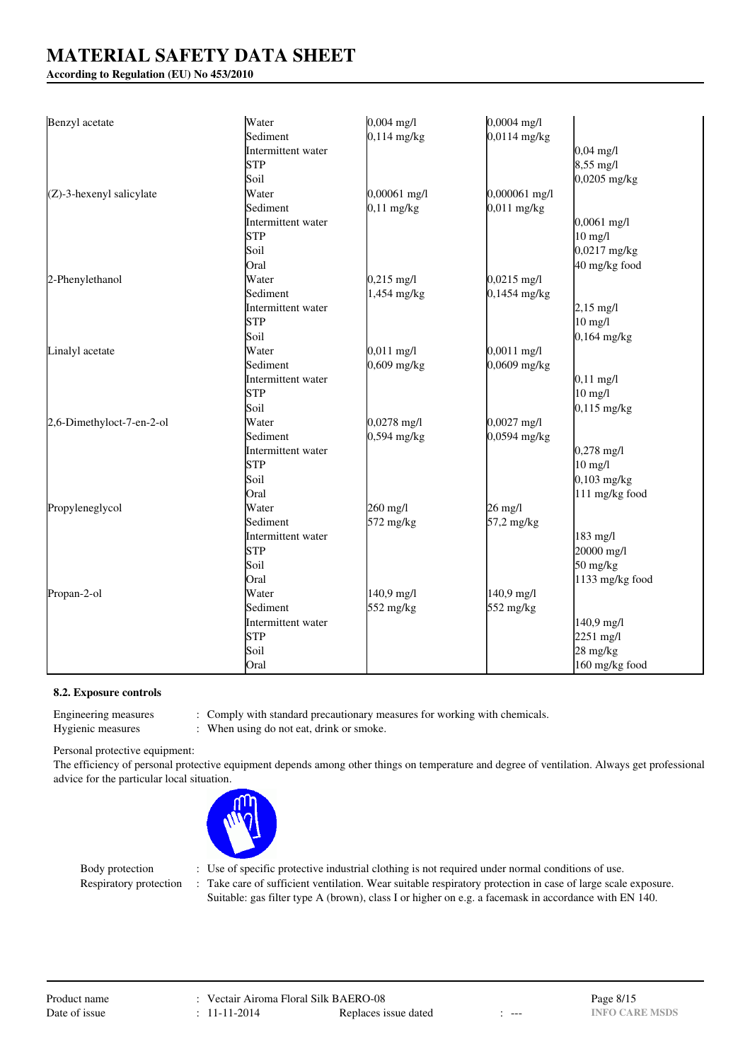## **According to Regulation (EU) No 453/2010**

| Benzyl acetate              | Water              | $0,004$ mg/l  | $0,0004$ mg/l          |                     |
|-----------------------------|--------------------|---------------|------------------------|---------------------|
|                             | Sediment           | $0,114$ mg/kg | $0,0114 \text{ mg/kg}$ |                     |
|                             | Intermittent water |               |                        | $0,04 \text{ mg}/1$ |
|                             | <b>STP</b>         |               |                        | 8,55 mg/l           |
|                             | Soil               |               |                        | $0,0205$ mg/kg      |
| $(Z)$ -3-hexenyl salicylate | Water              | 0,00061 mg/l  | 0,000061 mg/l          |                     |
|                             | Sediment           | $0,11$ mg/kg  | $0,011$ mg/kg          |                     |
|                             | Intermittent water |               |                        | $0,0061$ mg/l       |
|                             | <b>STP</b>         |               |                        | $10$ mg/l           |
|                             | Soil               |               |                        | $0,0217$ mg/kg      |
|                             | Oral               |               |                        | 40 mg/kg food       |
| 2-Phenylethanol             | Water              | $0,215$ mg/l  | $0,0215 \text{ mg/l}$  |                     |
|                             | Sediment           | 1,454 mg/kg   | $0,1454$ mg/kg         |                     |
|                             | Intermittent water |               |                        | $2,15 \text{ mg/l}$ |
|                             | <b>STP</b>         |               |                        | $10$ mg/l           |
|                             | Soil               |               |                        | $0,164$ mg/kg       |
| Linalyl acetate             | Water              | $0,011$ mg/l  | $0,0011$ mg/l          |                     |
|                             | Sediment           | $0,609$ mg/kg | $0,0609$ mg/kg         |                     |
|                             | Intermittent water |               |                        | $0,11 \text{ mg/l}$ |
|                             | <b>STP</b>         |               |                        | $10$ mg/l           |
|                             | Soil               |               |                        | $0,115$ mg/kg       |
| 2,6-Dimethyloct-7-en-2-ol   | Water              | $0,0278$ mg/l | $0,0027 \text{ mg/l}$  |                     |
|                             | Sediment           | $0,594$ mg/kg | 0,0594 mg/kg           |                     |
|                             | Intermittent water |               |                        | $0,278$ mg/l        |
|                             | <b>STP</b>         |               |                        | $10$ mg/l           |
|                             | Soil               |               |                        | $0,103$ mg/kg       |
|                             | Oral               |               |                        | 111 mg/kg food      |
| Propyleneglycol             | Water              | 260 mg/l      | $26$ mg/l              |                     |
|                             | Sediment           | 572 mg/kg     | 57,2 mg/kg             |                     |
|                             | Intermittent water |               |                        | 183 mg/l            |
|                             | İSTP               |               |                        | 20000 mg/l          |
|                             | Soil               |               |                        | 50 mg/kg            |
|                             | Oral               |               |                        | 1133 mg/kg food     |
| Propan-2-ol                 | Water              | 140,9 mg/l    | 140,9 mg/l             |                     |
|                             | Sediment           | 552 mg/kg     | 552 mg/kg              |                     |
|                             | Intermittent water |               |                        | 140,9 mg/l          |
|                             | <b>STP</b>         |               |                        | 2251 mg/l           |
|                             | Soil               |               |                        | 28 mg/kg            |
|                             | Oral               |               |                        | 160 mg/kg food      |

#### **8.2. Exposure controls**

Engineering measures : Comply with standard precautionary measures for working with chemicals.

Hygienic measures : When using do not eat, drink or smoke.

Personal protective equipment:

The efficiency of personal protective equipment depends among other things on temperature and degree of ventilation. Always get professional advice for the particular local situation.



- Body protection : Use of specific protective industrial clothing is not required under normal conditions of use.
- Respiratory protection : Take care of sufficient ventilation. Wear suitable respiratory protection in case of large scale exposure. Suitable: gas filter type A (brown), class I or higher on e.g. a facemask in accordance with EN 140.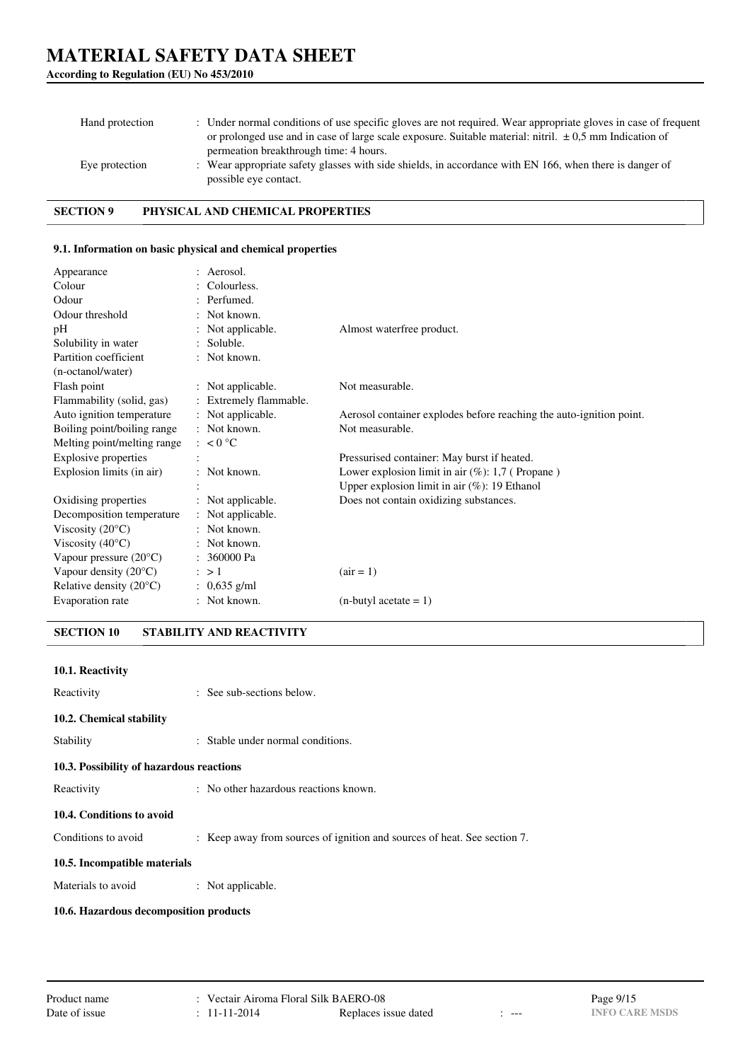| Hand protection | : Under normal conditions of use specific gloves are not required. Wear appropriate gloves in case of frequent<br>or prolonged use and in case of large scale exposure. Suitable material: nitril. $\pm 0.5$ mm Indication of<br>permeation breakthrough time: 4 hours. |
|-----------------|-------------------------------------------------------------------------------------------------------------------------------------------------------------------------------------------------------------------------------------------------------------------------|
| Eye protection  | : Wear appropriate safety glasses with side shields, in accordance with EN 166, when there is danger of<br>possible eye contact.                                                                                                                                        |

**SECTION 9 PHYSICAL AND CHEMICAL PROPERTIES**

#### **9.1. Information on basic physical and chemical properties**

| Appearance                       | : Aerosol.             |                                                                     |
|----------------------------------|------------------------|---------------------------------------------------------------------|
| Colour                           | : Colourless.          |                                                                     |
| Odour                            | : Perfumed.            |                                                                     |
| Odour threshold                  | $:$ Not known.         |                                                                     |
| pH                               | : Not applicable.      | Almost waterfree product.                                           |
| Solubility in water              | : Soluble.             |                                                                     |
| Partition coefficient            | $:$ Not known.         |                                                                     |
| (n-octanol/water)                |                        |                                                                     |
| Flash point                      | : Not applicable.      | Not measurable.                                                     |
| Flammability (solid, gas)        | : Extremely flammable. |                                                                     |
| Auto ignition temperature        | : Not applicable.      | Aerosol container explodes before reaching the auto-ignition point. |
| Boiling point/boiling range      | : Not known.           | Not measurable.                                                     |
| Melting point/melting range      | $\approx 0^{\circ}C$   |                                                                     |
| <b>Explosive properties</b>      |                        | Pressurised container: May burst if heated.                         |
| Explosion limits (in air)        | $:$ Not known.         | Lower explosion limit in air $(\%)$ : 1,7 (Propane)                 |
|                                  |                        | Upper explosion limit in air $(\%)$ : 19 Ethanol                    |
| Oxidising properties             | : Not applicable.      | Does not contain oxidizing substances.                              |
| Decomposition temperature        | : Not applicable.      |                                                                     |
| Viscosity $(20^{\circ}C)$        | : Not known.           |                                                                     |
| Viscosity $(40^{\circ}C)$        | $:$ Not known.         |                                                                     |
| Vapour pressure $(20^{\circ}C)$  | : 360000 Pa            |                                                                     |
| Vapour density $(20^{\circ}C)$   | $\therefore$ > 1       | $\arctan 1$                                                         |
| Relative density $(20^{\circ}C)$ | : $0,635$ g/ml         |                                                                     |
| Evaporation rate                 | $:$ Not known.         | $(n$ -butyl acetate = 1)                                            |

**SECTION 10 STABILITY AND REACTIVITY**

| 10.1. Reactivity                         |                                                                          |
|------------------------------------------|--------------------------------------------------------------------------|
| Reactivity                               | : See sub-sections below.                                                |
| 10.2. Chemical stability                 |                                                                          |
| Stability                                | : Stable under normal conditions.                                        |
| 10.3. Possibility of hazardous reactions |                                                                          |
| Reactivity                               | : No other hazardous reactions known.                                    |
| 10.4. Conditions to avoid                |                                                                          |
| Conditions to avoid                      | : Keep away from sources of ignition and sources of heat. See section 7. |
| 10.5. Incompatible materials             |                                                                          |
| Materials to avoid                       | : Not applicable.                                                        |
| 10.6. Hazardous decomposition products   |                                                                          |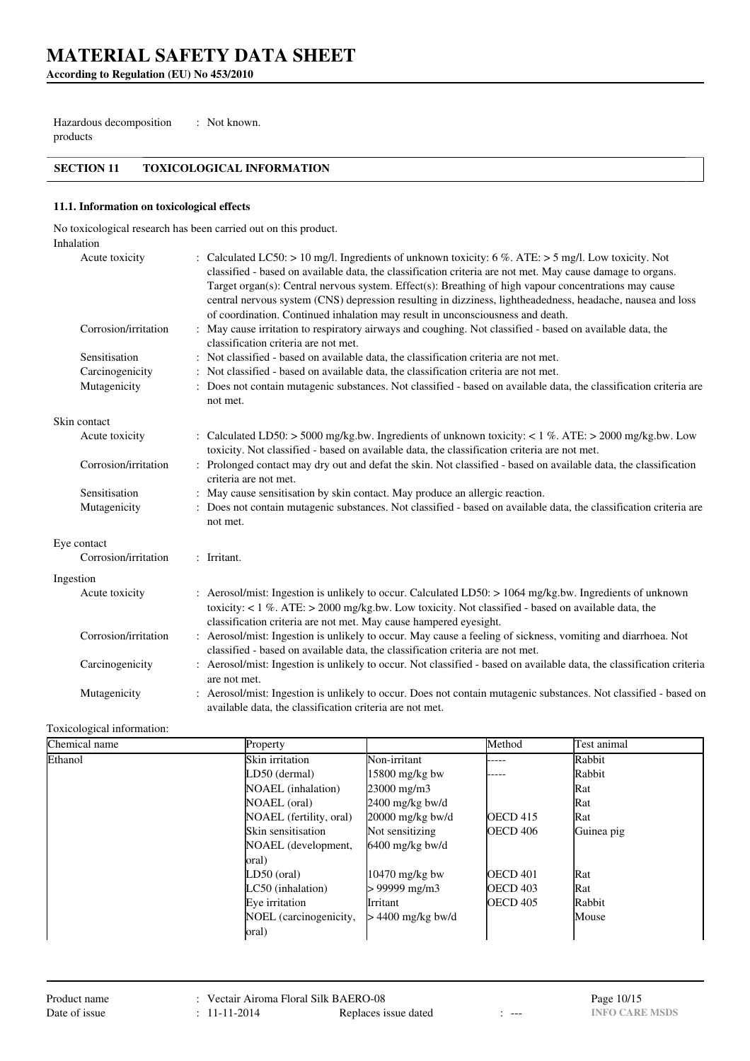**According to Regulation (EU) No 453/2010**

Hazardous decomposition products : Not known.

# **SECTION 11 TOXICOLOGICAL INFORMATION**

#### **11.1. Information on toxicological effects**

No toxicological research has been carried out on this product.

| Inhalation           |                                                                                                                                                                                                                                                                                                                                                                                                                                                                                                                             |
|----------------------|-----------------------------------------------------------------------------------------------------------------------------------------------------------------------------------------------------------------------------------------------------------------------------------------------------------------------------------------------------------------------------------------------------------------------------------------------------------------------------------------------------------------------------|
| Acute toxicity       | : Calculated LC50: > 10 mg/l. Ingredients of unknown toxicity: 6 %. ATE: > 5 mg/l. Low toxicity. Not<br>classified - based on available data, the classification criteria are not met. May cause damage to organs.<br>Target organ(s): Central nervous system. Effect(s): Breathing of high vapour concentrations may cause<br>central nervous system (CNS) depression resulting in dizziness, lightheadedness, headache, nausea and loss<br>of coordination. Continued inhalation may result in unconsciousness and death. |
| Corrosion/irritation | : May cause irritation to respiratory airways and coughing. Not classified - based on available data, the<br>classification criteria are not met.                                                                                                                                                                                                                                                                                                                                                                           |
| Sensitisation        | : Not classified - based on available data, the classification criteria are not met.                                                                                                                                                                                                                                                                                                                                                                                                                                        |
| Carcinogenicity      | : Not classified - based on available data, the classification criteria are not met.                                                                                                                                                                                                                                                                                                                                                                                                                                        |
| Mutagenicity         | : Does not contain mutagenic substances. Not classified - based on available data, the classification criteria are<br>not met.                                                                                                                                                                                                                                                                                                                                                                                              |
| Skin contact         |                                                                                                                                                                                                                                                                                                                                                                                                                                                                                                                             |
| Acute toxicity       | : Calculated LD50: > 5000 mg/kg.bw. Ingredients of unknown toxicity: < 1 %. ATE: > 2000 mg/kg.bw. Low<br>toxicity. Not classified - based on available data, the classification criteria are not met.                                                                                                                                                                                                                                                                                                                       |
| Corrosion/irritation | : Prolonged contact may dry out and defat the skin. Not classified - based on available data, the classification<br>criteria are not met.                                                                                                                                                                                                                                                                                                                                                                                   |
| Sensitisation        | : May cause sensitisation by skin contact. May produce an allergic reaction.                                                                                                                                                                                                                                                                                                                                                                                                                                                |
| Mutagenicity         | : Does not contain mutagenic substances. Not classified - based on available data, the classification criteria are<br>not met.                                                                                                                                                                                                                                                                                                                                                                                              |
| Eye contact          |                                                                                                                                                                                                                                                                                                                                                                                                                                                                                                                             |
| Corrosion/irritation | : Irritant.                                                                                                                                                                                                                                                                                                                                                                                                                                                                                                                 |
| Ingestion            |                                                                                                                                                                                                                                                                                                                                                                                                                                                                                                                             |
| Acute toxicity       | : Aerosol/mist: Ingestion is unlikely to occur. Calculated LD50: > 1064 mg/kg.bw. Ingredients of unknown<br>toxicity: $< 1 \%$ . ATE: $> 2000$ mg/kg.bw. Low toxicity. Not classified - based on available data, the<br>classification criteria are not met. May cause hampered eyesight.                                                                                                                                                                                                                                   |
| Corrosion/irritation | : Aerosol/mist: Ingestion is unlikely to occur. May cause a feeling of sickness, vomiting and diarrhoea. Not<br>classified - based on available data, the classification criteria are not met.                                                                                                                                                                                                                                                                                                                              |
| Carcinogenicity      | : Aerosol/mist: Ingestion is unlikely to occur. Not classified - based on available data, the classification criteria<br>are not met.                                                                                                                                                                                                                                                                                                                                                                                       |
| Mutagenicity         | : Aerosol/mist: Ingestion is unlikely to occur. Does not contain mutagenic substances. Not classified - based on<br>available data, the classification criteria are not met.                                                                                                                                                                                                                                                                                                                                                |

#### Toxicological information:

| Chemical name | Property                  |                    | Method          | Test animal |
|---------------|---------------------------|--------------------|-----------------|-------------|
| Ethanol       | Skin irritation           | Non-irritant       | .               | Rabbit      |
|               | LD50 (dermal)             | $15800$ mg/kg bw   |                 | Rabbit      |
|               | <b>NOAEL</b> (inhalation) | 23000 mg/m3        |                 | Rat         |
|               | NOAEL (oral)              | $2400$ mg/kg bw/d  |                 | Rat         |
|               | NOAEL (fertility, oral)   | $20000$ mg/kg bw/d | <b>OECD</b> 415 | Rat         |
|               | Skin sensitisation        | Not sensitizing    | OECD 406        | Guinea pig  |
|               | NOAEL (development,       | $6400$ mg/kg bw/d  |                 |             |
|               | oral)                     |                    |                 |             |
|               | LD50 (oral)               | $10470$ mg/kg bw   | <b>OECD 401</b> | Rat         |
|               | LC50 (inhalation)         | > 99999 mg/m3      | <b>OECD 403</b> | Rat         |
|               | Eye irritation            | Irritant           | <b>OECD 405</b> | Rabbit      |
|               | NOEL (carcinogenicity,    | > 4400 mg/kg bw/d  |                 | Mouse       |
|               | oral)                     |                    |                 |             |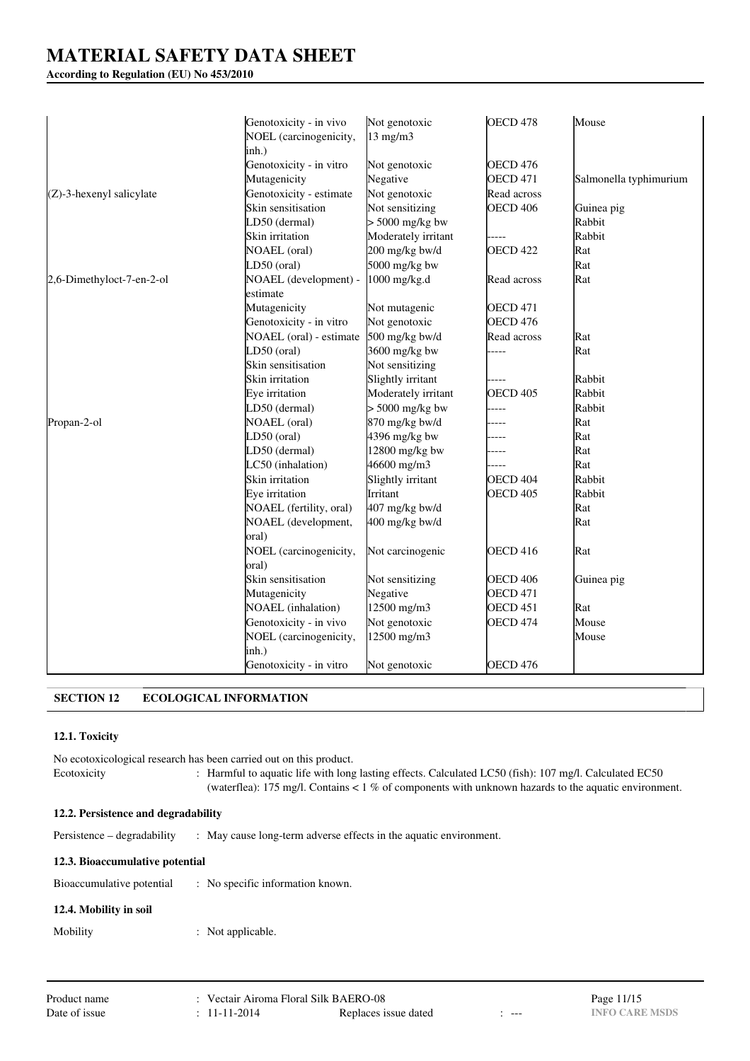### **According to Regulation (EU) No 453/2010**

|                             | Genotoxicity - in vivo  | Not genotoxic       | OECD <sub>478</sub> | Mouse                  |
|-----------------------------|-------------------------|---------------------|---------------------|------------------------|
|                             | NOEL (carcinogenicity,  | $13 \text{ mg/m}$   |                     |                        |
|                             | inh.)                   |                     |                     |                        |
|                             | Genotoxicity - in vitro | Not genotoxic       | <b>OECD 476</b>     |                        |
|                             | Mutagenicity            | Negative            | <b>OECD 471</b>     | Salmonella typhimurium |
| $(Z)$ -3-hexenyl salicylate | Genotoxicity - estimate | Not genotoxic       | Read across         |                        |
|                             | Skin sensitisation      | Not sensitizing     | <b>OECD 406</b>     | Guinea pig             |
|                             | LD50 (dermal)           | $> 5000$ mg/kg bw   |                     | Rabbit                 |
|                             | Skin irritation         | Moderately irritant |                     | Rabbit                 |
|                             | <b>NOAEL</b> (oral)     | 200 mg/kg bw/d      | <b>OECD 422</b>     | Rat                    |
|                             | LD50 (oral)             | 5000 mg/kg bw       |                     | Rat                    |
| 2,6-Dimethyloct-7-en-2-ol   | NOAEL (development) -   | 1000 mg/kg.d        | Read across         | Rat                    |
|                             | estimate                |                     |                     |                        |
|                             | Mutagenicity            | Not mutagenic       | <b>OECD 471</b>     |                        |
|                             | Genotoxicity - in vitro | Not genotoxic       | <b>OECD 476</b>     |                        |
|                             | NOAEL (oral) - estimate | 500 mg/kg bw/d      | Read across         | Rat                    |
|                             | LD50 (oral)             | 3600 mg/kg bw       |                     | Rat                    |
|                             | Skin sensitisation      | Not sensitizing     |                     |                        |
|                             | Skin irritation         | Slightly irritant   |                     | Rabbit                 |
|                             | Eye irritation          | Moderately irritant | <b>OECD 405</b>     | Rabbit                 |
|                             | LD50 (dermal)           | $> 5000$ mg/kg bw   | ----                | Rabbit                 |
| Propan-2-ol                 | <b>NOAEL</b> (oral)     | 870 mg/kg bw/d      |                     | Rat                    |
|                             | LD50 (oral)             | 4396 mg/kg bw       |                     | Rat                    |
|                             | LD50 (dermal)           | 12800 mg/kg bw      |                     | Rat                    |
|                             | LC50 (inhalation)       | 46600 mg/m3         |                     | Rat                    |
|                             | Skin irritation         | Slightly irritant   | <b>OECD 404</b>     | Rabbit                 |
|                             | Eye irritation          | Irritant            | <b>OECD 405</b>     | Rabbit                 |
|                             | NOAEL (fertility, oral) | 407 mg/kg bw/d      |                     | Rat                    |
|                             | NOAEL (development,     | 400 mg/kg bw/d      |                     | Rat                    |
|                             | oral)                   |                     |                     |                        |
|                             | NOEL (carcinogenicity,  | Not carcinogenic    | <b>OECD 416</b>     | Rat                    |
|                             | oral)                   |                     |                     |                        |
|                             | Skin sensitisation      | Not sensitizing     | <b>OECD 406</b>     | Guinea pig             |
|                             | Mutagenicity            | Negative            | <b>OECD 471</b>     |                        |
|                             | NOAEL (inhalation)      | 12500 mg/m3         | <b>OECD 451</b>     | Rat                    |
|                             | Genotoxicity - in vivo  | Not genotoxic       | OECD <sub>474</sub> | Mouse                  |
|                             | NOEL (carcinogenicity,  | 12500 mg/m3         |                     | Mouse                  |
|                             | inh.)                   |                     |                     |                        |
|                             | Genotoxicity - in vitro | Not genotoxic       | <b>OECD 476</b>     |                        |

# **SECTION 12 ECOLOGICAL INFORMATION**

### **12.1. Toxicity**

No ecotoxicological research has been carried out on this product. Ecotoxicity : Harmful to aquatic life with long lasting effects. Calculated LC50 (fish): 107 mg/l. Calculated EC50 (waterflea): 175 mg/l. Contains < 1 % of components with unknown hazards to the aquatic environment.

### **12.2. Persistence and degradability**

Persistence – degradability : May cause long-term adverse effects in the aquatic environment.

#### **12.3. Bioaccumulative potential**

| Bioaccumulative potential |  | : No specific information known. |
|---------------------------|--|----------------------------------|
|---------------------------|--|----------------------------------|

# **12.4. Mobility in soil**

Mobility : Not applicable.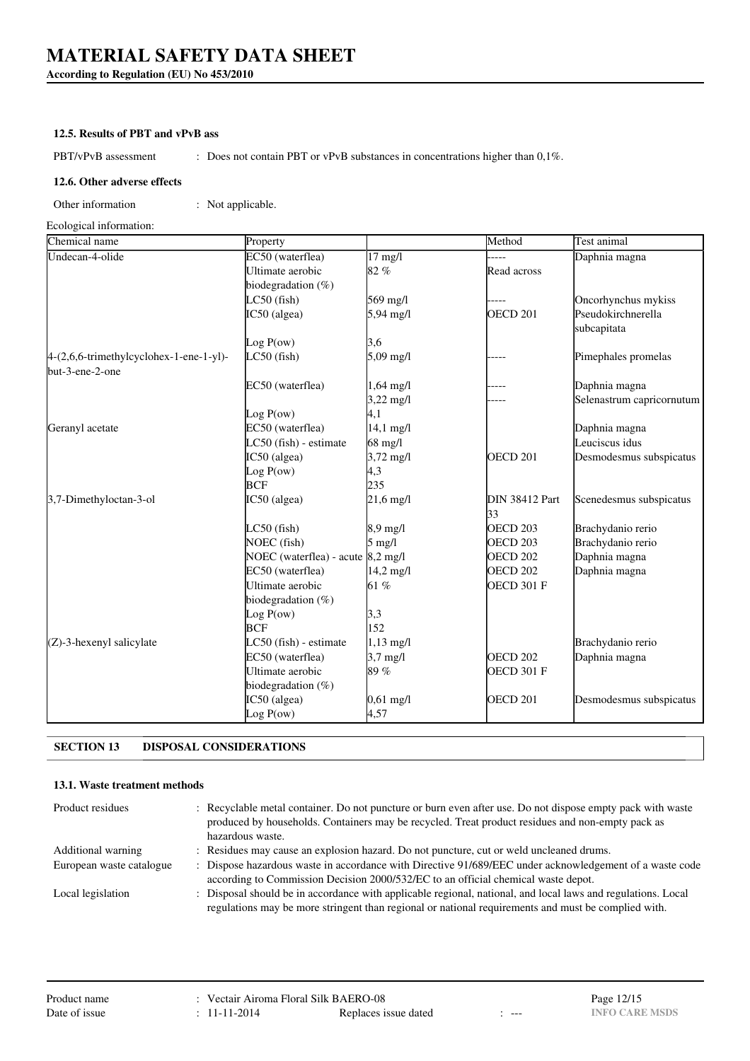**According to Regulation (EU) No 453/2010**

#### **12.5. Results of PBT and vPvB ass**

PBT/vPvB assessment : Does not contain PBT or vPvB substances in concentrations higher than 0,1%.

#### **12.6. Other adverse effects**

Other information : Not applicable.

Ecological information:

| Chemical name                                              | Property                          |                     | Method                      | Test animal               |
|------------------------------------------------------------|-----------------------------------|---------------------|-----------------------------|---------------------------|
| Undecan-4-olide                                            | EC50 (waterflea)                  | $17$ mg/l           |                             | Daphnia magna             |
|                                                            | Ultimate aerobic                  | 82%                 | Read across                 |                           |
|                                                            | biodegradation (%)                |                     |                             |                           |
|                                                            | $LC50$ (fish)                     | 569 mg/l            |                             | Oncorhynchus mykiss       |
|                                                            | IC50 (algea)                      | 5,94 mg/l           | OECD <sub>201</sub>         | Pseudokirchnerella        |
|                                                            |                                   |                     |                             | subcapitata               |
|                                                            | Log $P(ow)$                       | 3,6                 |                             |                           |
| 4-(2,6,6-trimethylcyclohex-1-ene-1-yl)-<br>but-3-ene-2-one | $LC50$ (fish)                     | 5,09 mg/l           |                             | Pimephales promelas       |
|                                                            | EC50 (waterflea)                  | $1,64 \text{ mg}/1$ |                             | Daphnia magna             |
|                                                            |                                   | $3,22 \text{ mg/l}$ |                             | Selenastrum capricornutum |
|                                                            | Log P(ow)                         | 4,1                 |                             |                           |
| Geranyl acetate                                            | EC50 (waterflea)                  | $14,1 \text{ mg}/1$ |                             | Daphnia magna             |
|                                                            | LC50 (fish) - estimate            | 68 mg/l             |                             | Leuciscus idus            |
|                                                            | IC50 (algea)                      | $3,72 \text{ mg}/1$ | OECD <sub>201</sub>         | Desmodesmus subspicatus   |
|                                                            | Log P(ow)                         | 4,3                 |                             |                           |
|                                                            | <b>BCF</b>                        | 235                 |                             |                           |
| 3,7-Dimethyloctan-3-ol                                     | IC50 (algea)                      | $21,6 \text{ mg}/1$ | <b>DIN 38412 Part</b><br>33 | Scenedesmus subspicatus   |
|                                                            | $LC50$ (fish)                     | $8.9$ mg/l          | OECD <sub>203</sub>         | Brachydanio rerio         |
|                                                            | NOEC (fish)                       | $5 \text{ mg/l}$    | OECD <sub>203</sub>         | Brachydanio rerio         |
|                                                            | NOEC (waterflea) - acute 8,2 mg/l |                     | <b>OECD 202</b>             | Daphnia magna             |
|                                                            | EC50 (waterflea)                  | $14,2 \text{ mg}/1$ | OECD <sub>202</sub>         | Daphnia magna             |
|                                                            | Ultimate aerobic                  | 61%                 | OECD 301 F                  |                           |
|                                                            | biodegradation $(\%)$             |                     |                             |                           |
|                                                            | Log P(ow)                         | 3,3                 |                             |                           |
|                                                            | <b>BCF</b>                        | 152                 |                             |                           |
| $(Z)$ -3-hexenyl salicylate                                | LC50 (fish) - estimate            | $1,13 \text{ mg}/1$ |                             | Brachydanio rerio         |
|                                                            | EC50 (waterflea)                  | $3,7$ mg/l          | OECD <sub>202</sub>         | Daphnia magna             |
|                                                            | Ultimate aerobic                  | 89%                 | OECD 301 F                  |                           |
|                                                            | biodegradation $(\%)$             |                     |                             |                           |
|                                                            | IC50 (algea)                      | $0,61 \text{ mg/l}$ | OECD <sub>201</sub>         | Desmodesmus subspicatus   |
|                                                            | Log P(ow)                         | 4,57                |                             |                           |
|                                                            |                                   |                     |                             |                           |

# **SECTION 13 DISPOSAL CONSIDERATIONS**

### **13.1. Waste treatment methods**

| Product residues          | : Recyclable metal container. Do not puncture or burn even after use. Do not dispose empty pack with waste<br>produced by households. Containers may be recycled. Treat product residues and non-empty pack as<br>hazardous waste. |
|---------------------------|------------------------------------------------------------------------------------------------------------------------------------------------------------------------------------------------------------------------------------|
| <b>Additional warning</b> | : Residues may cause an explosion hazard. Do not puncture, cut or weld uncleaned drums.                                                                                                                                            |
| European waste catalogue  | : Dispose hazardous waste in accordance with Directive 91/689/EEC under acknowledgement of a waste code                                                                                                                            |
|                           | according to Commission Decision 2000/532/EC to an official chemical waste depot.                                                                                                                                                  |
| Local legislation         | : Disposal should be in accordance with applicable regional, national, and local laws and regulations. Local                                                                                                                       |
|                           | regulations may be more stringent than regional or national requirements and must be complied with.                                                                                                                                |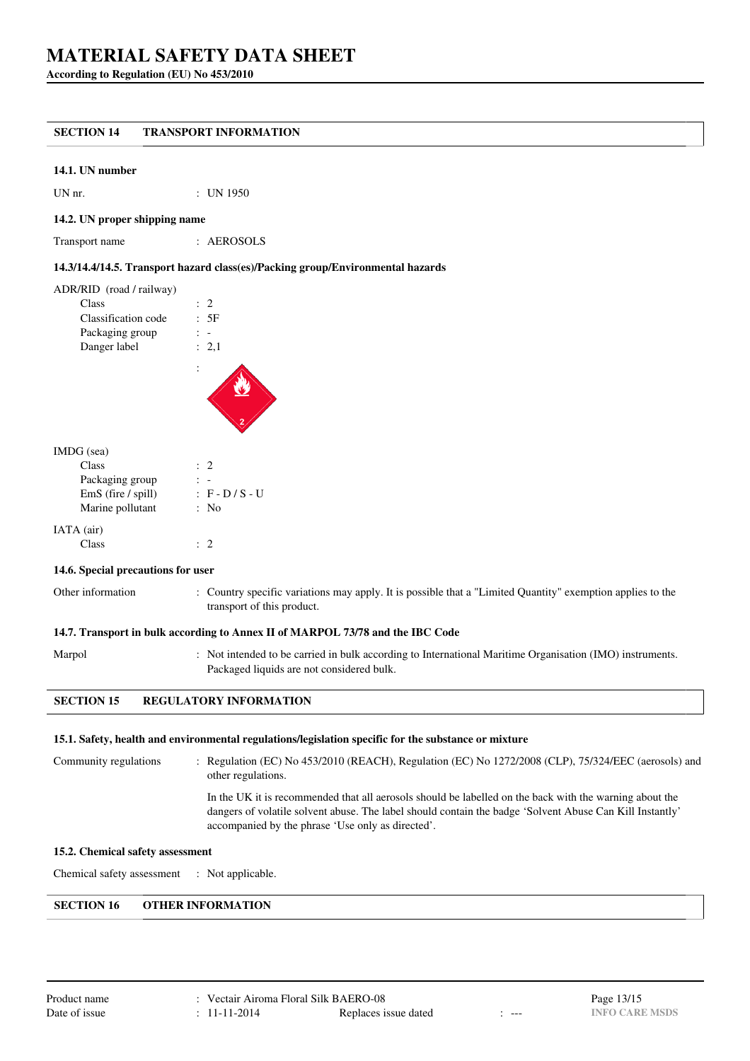**According to Regulation (EU) No 453/2010**

# **SECTION 14 TRANSPORT INFORMATION**

#### **14.1. UN number**

UN nr. : UN 1950

#### **14.2. UN proper shipping name**

Transport name : AEROSOLS

#### **14.3/14.4/14.5. Transport hazard class(es)/Packing group/Environmental hazards**

| ADR/RID (road / railway) |                |
|--------------------------|----------------|
| Class                    | $\therefore$ 2 |
| Classification code      | .5F            |
| Packaging group          |                |
| Danger label             | : 2.1          |
|                          |                |

#### IMDG (sea)

| Class              | $\therefore$ 2    |
|--------------------|-------------------|
| Packaging group    |                   |
| EmS (fire / spill) | $: F - D / S - U$ |
| Marine pollutant   | : No              |
| IATA (air)         |                   |
| Class              |                   |

#### **14.6. Special precautions for user**

thermation : Country specific variations may apply. It is possible that a "Limited Quantity" exemption applies to the transport of this product.

#### **14.7. Transport in bulk according to Annex II of MARPOL 73/78 and the IBC Code**

Marpol : Not intended to be carried in bulk according to International Maritime Organisation (IMO) instruments. Packaged liquids are not considered bulk.

### **SECTION 15 REGULATORY INFORMATION**

#### **15.1. Safety, health and environmental regulations/legislation specific for the substance or mixture**

Community regulations : Regulation (EC) No 453/2010 (REACH), Regulation (EC) No 1272/2008 (CLP), 75/324/EEC (aerosols) and other regulations. In the UK it is recommended that all aerosols should be labelled on the back with the warning about the dangers of volatile solvent abuse. The label should contain the badge 'Solvent Abuse Can Kill Instantly' accompanied by the phrase 'Use only as directed'.

#### **15.2. Chemical safety assessment**

Chemical safety assessment : Not applicable.

### **SECTION 16 OTHER INFORMATION**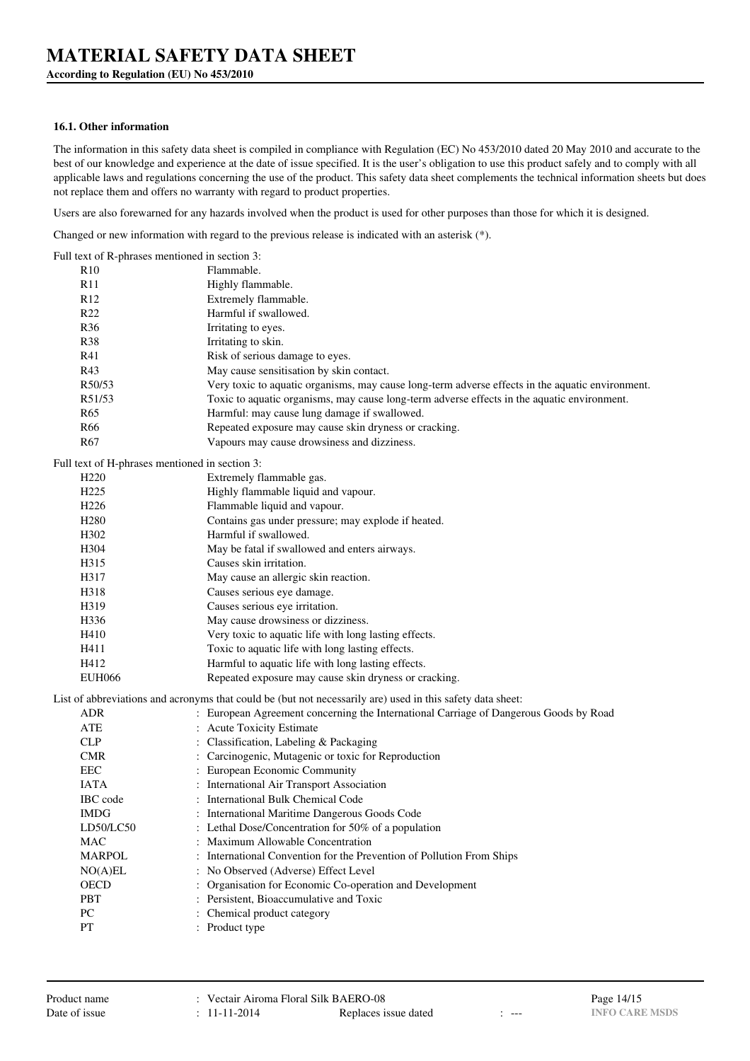**According to Regulation (EU) No 453/2010**

#### **16.1. Other information**

The information in this safety data sheet is compiled in compliance with Regulation (EC) No 453/2010 dated 20 May 2010 and accurate to the best of our knowledge and experience at the date of issue specified. It is the user's obligation to use this product safely and to comply with all applicable laws and regulations concerning the use of the product. This safety data sheet complements the technical information sheets but does not replace them and offers no warranty with regard to product properties.

Users are also forewarned for any hazards involved when the product is used for other purposes than those for which it is designed.

Changed or new information with regard to the previous release is indicated with an asterisk (\*).

| Full text of R-phrases mentioned in section 3: |                                                                                                            |
|------------------------------------------------|------------------------------------------------------------------------------------------------------------|
| R10                                            | Flammable.                                                                                                 |
| R11                                            | Highly flammable.                                                                                          |
| R <sub>12</sub>                                | Extremely flammable.                                                                                       |
| R <sub>22</sub>                                | Harmful if swallowed.                                                                                      |
| <b>R36</b>                                     | Irritating to eyes.                                                                                        |
| <b>R38</b>                                     | Irritating to skin.                                                                                        |
| R41                                            | Risk of serious damage to eyes.                                                                            |
| R43                                            | May cause sensitisation by skin contact.                                                                   |
| R50/53                                         | Very toxic to aquatic organisms, may cause long-term adverse effects in the aquatic environment.           |
| R51/53                                         | Toxic to aquatic organisms, may cause long-term adverse effects in the aquatic environment.                |
| R <sub>65</sub>                                | Harmful: may cause lung damage if swallowed.                                                               |
| R66                                            | Repeated exposure may cause skin dryness or cracking.                                                      |
| R <sub>67</sub>                                | Vapours may cause drowsiness and dizziness.                                                                |
| Full text of H-phrases mentioned in section 3: |                                                                                                            |
| H <sub>220</sub>                               | Extremely flammable gas.                                                                                   |
| H <sub>225</sub>                               | Highly flammable liquid and vapour.                                                                        |
| H <sub>226</sub>                               | Flammable liquid and vapour.                                                                               |
| H <sub>280</sub>                               | Contains gas under pressure; may explode if heated.                                                        |
| H <sub>3</sub> 02                              | Harmful if swallowed.                                                                                      |
| H <sub>304</sub>                               | May be fatal if swallowed and enters airways.                                                              |
| H315                                           | Causes skin irritation.                                                                                    |
| H317                                           | May cause an allergic skin reaction.                                                                       |
| H318                                           | Causes serious eye damage.                                                                                 |
| H319                                           | Causes serious eye irritation.                                                                             |
| H336                                           | May cause drowsiness or dizziness.                                                                         |
| H410                                           | Very toxic to aquatic life with long lasting effects.                                                      |
| H411                                           | Toxic to aquatic life with long lasting effects.                                                           |
| H412                                           | Harmful to aquatic life with long lasting effects.                                                         |
| <b>EUH066</b>                                  | Repeated exposure may cause skin dryness or cracking.                                                      |
|                                                | List of abbreviations and acronyms that could be (but not necessarily are) used in this safety data sheet: |
| <b>ADR</b>                                     | : European Agreement concerning the International Carriage of Dangerous Goods by Road                      |
| ATE                                            | : Acute Toxicity Estimate                                                                                  |
| <b>CLP</b>                                     | : Classification, Labeling & Packaging                                                                     |
| <b>CMR</b>                                     | : Carcinogenic, Mutagenic or toxic for Reproduction                                                        |
| <b>EEC</b>                                     | : European Economic Community                                                                              |
| <b>IATA</b>                                    | : International Air Transport Association                                                                  |
| IBC code                                       | : International Bulk Chemical Code                                                                         |
| <b>IMDG</b>                                    | : International Maritime Dangerous Goods Code                                                              |
| LD50/LC50                                      | : Lethal Dose/Concentration for 50% of a population                                                        |
| <b>MAC</b>                                     | Maximum Allowable Concentration                                                                            |
| <b>MARPOL</b>                                  | International Convention for the Prevention of Pollution From Ships                                        |
| NO(A)EL                                        | No Observed (Adverse) Effect Level                                                                         |
| <b>OECD</b>                                    | Organisation for Economic Co-operation and Development                                                     |
| PBT                                            | : Persistent, Bioaccumulative and Toxic                                                                    |
| PC                                             | : Chemical product category                                                                                |
| PT                                             | : Product type                                                                                             |
|                                                |                                                                                                            |